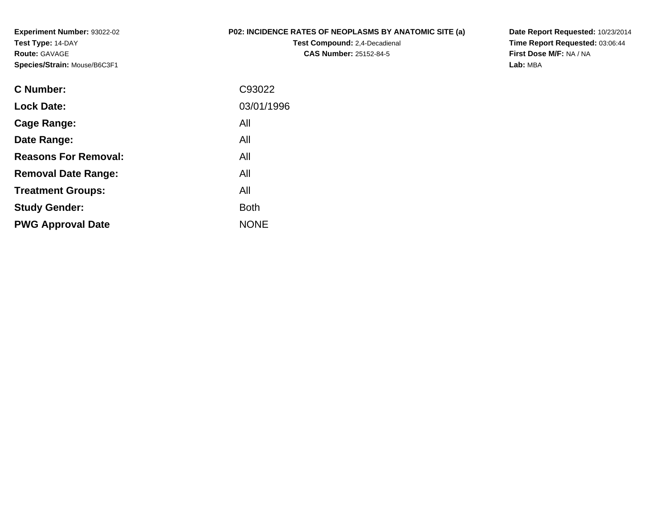**Experiment Number:** 93022-02**Test Type:** 14-DAY**Route:** GAVAGE**Species/Strain:** Mouse/B6C3F1

## **P02: INCIDENCE RATES OF NEOPLASMS BY ANATOMIC SITE (a)**

**Test Compound:** 2,4-Decadienal **CAS Number:** 25152-84-5

**Date Report Requested:** 10/23/2014 **Time Report Requested:** 03:06:44**First Dose M/F:** NA / NA**Lab:** MBA

| C Number:                   | C93022      |
|-----------------------------|-------------|
| <b>Lock Date:</b>           | 03/01/1996  |
| Cage Range:                 | All         |
| Date Range:                 | All         |
| <b>Reasons For Removal:</b> | All         |
| <b>Removal Date Range:</b>  | All         |
| <b>Treatment Groups:</b>    | All         |
| <b>Study Gender:</b>        | <b>Both</b> |
| <b>PWG Approval Date</b>    | <b>NONE</b> |
|                             |             |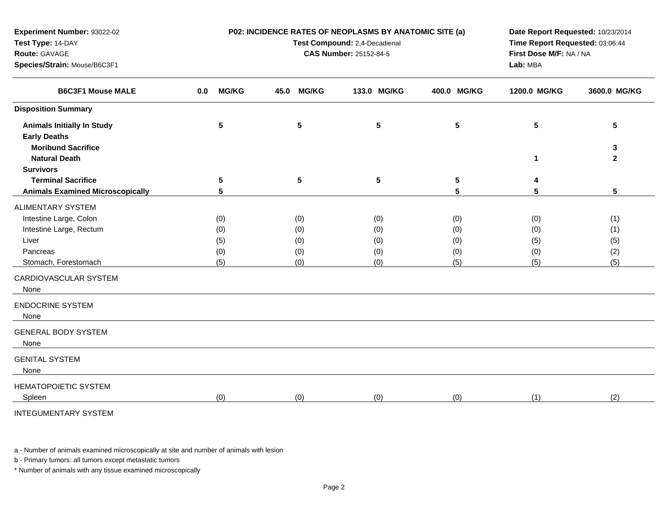| Test Type: 14-DAY<br>Route: GAVAGE<br>Species/Strain: Mouse/B6C3F1 |                 | Test Compound: 2,4-Decadienal<br><b>CAS Number: 25152-84-5</b> |      |              |  |                 |  |                 |              | Time Report Requested: 03:06:44<br>First Dose M/F: NA / NA<br>Lab: MBA |                   |  |
|--------------------------------------------------------------------|-----------------|----------------------------------------------------------------|------|--------------|--|-----------------|--|-----------------|--------------|------------------------------------------------------------------------|-------------------|--|
| <b>B6C3F1 Mouse MALE</b>                                           | 0.0             | <b>MG/KG</b>                                                   | 45.0 | <b>MG/KG</b> |  | 133.0 MG/KG     |  | 400.0 MG/KG     | 1200.0 MG/KG |                                                                        | 3600.0 MG/KG      |  |
| <b>Disposition Summary</b>                                         |                 |                                                                |      |              |  |                 |  |                 |              |                                                                        |                   |  |
| <b>Animals Initially In Study</b><br><b>Early Deaths</b>           | $5\phantom{.0}$ |                                                                |      | 5            |  | $5\phantom{.0}$ |  | 5               | 5            |                                                                        | 5                 |  |
| <b>Moribund Sacrifice</b><br><b>Natural Death</b>                  |                 |                                                                |      |              |  |                 |  |                 | $\mathbf 1$  |                                                                        | 3<br>$\mathbf{2}$ |  |
| <b>Survivors</b>                                                   |                 |                                                                |      |              |  |                 |  |                 |              |                                                                        |                   |  |
| <b>Terminal Sacrifice</b>                                          | $5\phantom{.0}$ |                                                                |      | 5            |  | 5               |  | $5\phantom{.0}$ | 4            |                                                                        |                   |  |
| <b>Animals Examined Microscopically</b>                            | 5               |                                                                |      |              |  |                 |  | 5               | 5            |                                                                        | 5                 |  |
| ALIMENTARY SYSTEM                                                  |                 |                                                                |      |              |  |                 |  |                 |              |                                                                        |                   |  |
| Intestine Large, Colon                                             | (0)             |                                                                |      | (0)          |  | (0)             |  | (0)             | (0)          |                                                                        | (1)               |  |
| Intestine Large, Rectum                                            | (0)             |                                                                |      | (0)          |  | (0)             |  | (0)             | (0)          |                                                                        | (1)               |  |
| Liver                                                              | (5)             |                                                                |      | (0)          |  | (0)             |  | (0)             | (5)          |                                                                        | (5)               |  |
| Pancreas                                                           | (0)             |                                                                |      | (0)          |  | (0)             |  | (0)             | (0)          |                                                                        | (2)               |  |
| Stomach, Forestomach                                               | (5)             |                                                                |      | (0)          |  | (0)             |  | (5)             | (5)          |                                                                        | (5)               |  |
| CARDIOVASCULAR SYSTEM<br>None                                      |                 |                                                                |      |              |  |                 |  |                 |              |                                                                        |                   |  |
| <b>ENDOCRINE SYSTEM</b><br>None                                    |                 |                                                                |      |              |  |                 |  |                 |              |                                                                        |                   |  |
| <b>GENERAL BODY SYSTEM</b><br>None                                 |                 |                                                                |      |              |  |                 |  |                 |              |                                                                        |                   |  |
| <b>GENITAL SYSTEM</b><br>None                                      |                 |                                                                |      |              |  |                 |  |                 |              |                                                                        |                   |  |
| <b>HEMATOPOIETIC SYSTEM</b><br>Spleen                              | (0)             |                                                                |      | (0)          |  | (0)             |  | (0)             | (1)          |                                                                        | (2)               |  |
| <b>INTEGUMENTARY SYSTEM</b>                                        |                 |                                                                |      |              |  |                 |  |                 |              |                                                                        |                   |  |

**P02: INCIDENCE RATES OF NEOPLASMS BY ANATOMIC SITE (a)**

**Date Report Requested:** 10/23/2014

a - Number of animals examined microscopically at site and number of animals with lesion

b - Primary tumors: all tumors except metastatic tumors

**Experiment Number:** 93022-02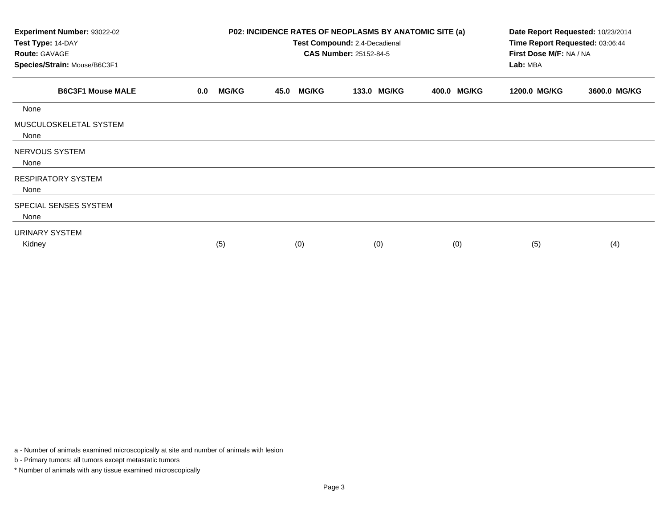| Experiment Number: 93022-02<br>Test Type: 14-DAY<br><b>Route: GAVAGE</b><br>Species/Strain: Mouse/B6C3F1 |                     | P02: INCIDENCE RATES OF NEOPLASMS BY ANATOMIC SITE (a)<br>Test Compound: 2,4-Decadienal<br><b>CAS Number: 25152-84-5</b> | Date Report Requested: 10/23/2014<br>Time Report Requested: 03:06:44<br>First Dose M/F: NA / NA<br>Lab: MBA |             |              |              |
|----------------------------------------------------------------------------------------------------------|---------------------|--------------------------------------------------------------------------------------------------------------------------|-------------------------------------------------------------------------------------------------------------|-------------|--------------|--------------|
| <b>B6C3F1 Mouse MALE</b>                                                                                 | <b>MG/KG</b><br>0.0 | <b>MG/KG</b><br>45.0                                                                                                     | 133.0 MG/KG                                                                                                 | 400.0 MG/KG | 1200.0 MG/KG | 3600.0 MG/KG |
| None                                                                                                     |                     |                                                                                                                          |                                                                                                             |             |              |              |
| MUSCULOSKELETAL SYSTEM<br>None                                                                           |                     |                                                                                                                          |                                                                                                             |             |              |              |
| NERVOUS SYSTEM<br>None                                                                                   |                     |                                                                                                                          |                                                                                                             |             |              |              |
| <b>RESPIRATORY SYSTEM</b><br>None                                                                        |                     |                                                                                                                          |                                                                                                             |             |              |              |
| SPECIAL SENSES SYSTEM<br>None                                                                            |                     |                                                                                                                          |                                                                                                             |             |              |              |
| URINARY SYSTEM<br>Kidney                                                                                 | (5)                 | (0)                                                                                                                      | (0)                                                                                                         | (0)         | (5)          | (4)          |

a - Number of animals examined microscopically at site and number of animals with lesion

b - Primary tumors: all tumors except metastatic tumors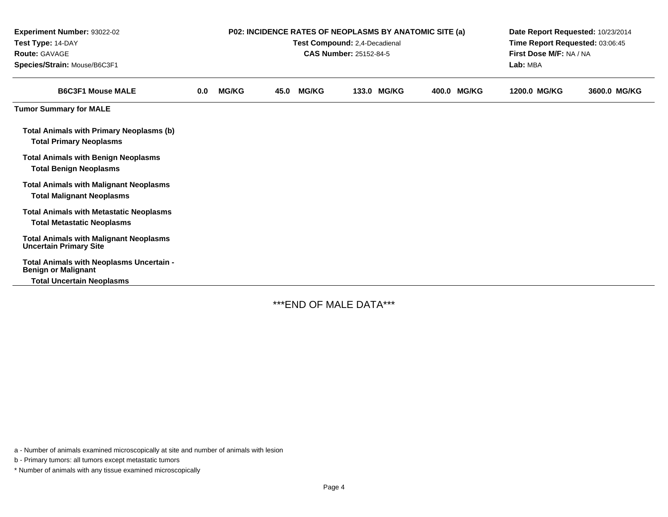| Experiment Number: 93022-02<br>Test Type: 14-DAY<br>Route: GAVAGE<br>Species/Strain: Mouse/B6C3F1 |     | <b>P02: INCIDENCE RATES OF NEOPLASMS BY ANATOMIC SITE (a)</b><br>Test Compound: 2,4-Decadienal<br><b>CAS Number: 25152-84-5</b><br>Lab: MBA |      |              |  |             |  |             |              | Date Report Requested: 10/23/2014<br>Time Report Requested: 03:06:45<br>First Dose M/F: NA / NA |  |
|---------------------------------------------------------------------------------------------------|-----|---------------------------------------------------------------------------------------------------------------------------------------------|------|--------------|--|-------------|--|-------------|--------------|-------------------------------------------------------------------------------------------------|--|
| <b>B6C3F1 Mouse MALE</b>                                                                          | 0.0 | <b>MG/KG</b>                                                                                                                                | 45.0 | <b>MG/KG</b> |  | 133.0 MG/KG |  | 400.0 MG/KG | 1200.0 MG/KG | 3600.0 MG/KG                                                                                    |  |
| <b>Tumor Summary for MALE</b>                                                                     |     |                                                                                                                                             |      |              |  |             |  |             |              |                                                                                                 |  |
| Total Animals with Primary Neoplasms (b)<br><b>Total Primary Neoplasms</b>                        |     |                                                                                                                                             |      |              |  |             |  |             |              |                                                                                                 |  |
| <b>Total Animals with Benign Neoplasms</b><br><b>Total Benign Neoplasms</b>                       |     |                                                                                                                                             |      |              |  |             |  |             |              |                                                                                                 |  |
| <b>Total Animals with Malignant Neoplasms</b><br><b>Total Malignant Neoplasms</b>                 |     |                                                                                                                                             |      |              |  |             |  |             |              |                                                                                                 |  |
| <b>Total Animals with Metastatic Neoplasms</b><br><b>Total Metastatic Neoplasms</b>               |     |                                                                                                                                             |      |              |  |             |  |             |              |                                                                                                 |  |
| <b>Total Animals with Malignant Neoplasms</b><br><b>Uncertain Primary Site</b>                    |     |                                                                                                                                             |      |              |  |             |  |             |              |                                                                                                 |  |
| Total Animals with Neoplasms Uncertain -<br><b>Benign or Malignant</b>                            |     |                                                                                                                                             |      |              |  |             |  |             |              |                                                                                                 |  |
| <b>Total Uncertain Neoplasms</b>                                                                  |     |                                                                                                                                             |      |              |  |             |  |             |              |                                                                                                 |  |

\*\*\*END OF MALE DATA\*\*\*

a - Number of animals examined microscopically at site and number of animals with lesion

b - Primary tumors: all tumors except metastatic tumors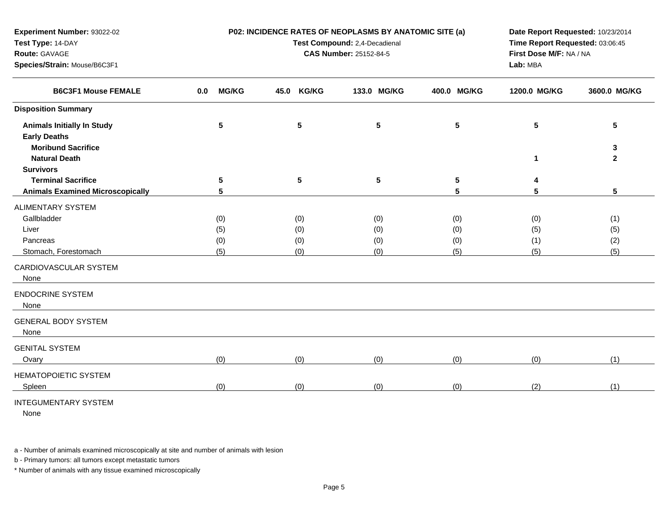| Test Type: 14-DAY                                                                        |                     | Test Compound: 2,4-Decadienal | Time Report Requested: 03:06:45     |                 |              |                   |
|------------------------------------------------------------------------------------------|---------------------|-------------------------------|-------------------------------------|-----------------|--------------|-------------------|
| Route: GAVAGE<br>Species/Strain: Mouse/B6C3F1                                            |                     | <b>CAS Number: 25152-84-5</b> | First Dose M/F: NA / NA<br>Lab: MBA |                 |              |                   |
| <b>B6C3F1 Mouse FEMALE</b>                                                               | <b>MG/KG</b><br>0.0 | 45.0<br><b>KG/KG</b>          | 133.0 MG/KG                         | 400.0 MG/KG     | 1200.0 MG/KG | 3600.0 MG/KG      |
| <b>Disposition Summary</b>                                                               |                     |                               |                                     |                 |              |                   |
| <b>Animals Initially In Study</b><br><b>Early Deaths</b>                                 | $5\phantom{.0}$     | ${\bf 5}$                     | $5\phantom{1}$                      | $5\phantom{.0}$ | 5            | 5                 |
| <b>Moribund Sacrifice</b><br><b>Natural Death</b>                                        |                     |                               |                                     |                 | 1            | 3<br>$\mathbf{2}$ |
| <b>Survivors</b><br><b>Terminal Sacrifice</b><br><b>Animals Examined Microscopically</b> | 5<br>5              | 5                             | 5                                   | 5<br>5          | 4<br>5       | 5                 |
|                                                                                          |                     |                               |                                     |                 |              |                   |
| <b>ALIMENTARY SYSTEM</b><br>Gallbladder                                                  |                     |                               |                                     |                 |              |                   |
| Liver                                                                                    | (0)<br>(5)          | (0)<br>(0)                    | (0)<br>(0)                          | (0)<br>(0)      | (0)<br>(5)   | (1)<br>(5)        |
| Pancreas                                                                                 | (0)                 | (0)                           | (0)                                 | (0)             | (1)          | (2)               |
| Stomach, Forestomach                                                                     | (5)                 | (0)                           | (0)                                 | (5)             | (5)          | (5)               |
| CARDIOVASCULAR SYSTEM<br>None                                                            |                     |                               |                                     |                 |              |                   |
| <b>ENDOCRINE SYSTEM</b><br>None                                                          |                     |                               |                                     |                 |              |                   |
| <b>GENERAL BODY SYSTEM</b><br>None                                                       |                     |                               |                                     |                 |              |                   |
| <b>GENITAL SYSTEM</b><br>Ovary                                                           | (0)                 | (0)                           | (0)                                 | (0)             | (0)          | (1)               |
| HEMATOPOIETIC SYSTEM                                                                     |                     |                               |                                     |                 |              |                   |
| Spleen                                                                                   | (0)                 | (0)                           | (0)                                 | (0)             | (2)          | (1)               |
| MTTCOLMHTMTADVONOTENI                                                                    |                     |                               |                                     |                 |              |                   |

**P02: INCIDENCE RATES OF NEOPLASMS BY ANATOMIC SITE (a)Test Compound:** 2,4-Decadienal

**Date Report Requested:** 10/23/2014

## INTEGUMENTARY SYSTEM

**Experiment Number:** 93022-02

None

a - Number of animals examined microscopically at site and number of animals with lesion

b - Primary tumors: all tumors except metastatic tumors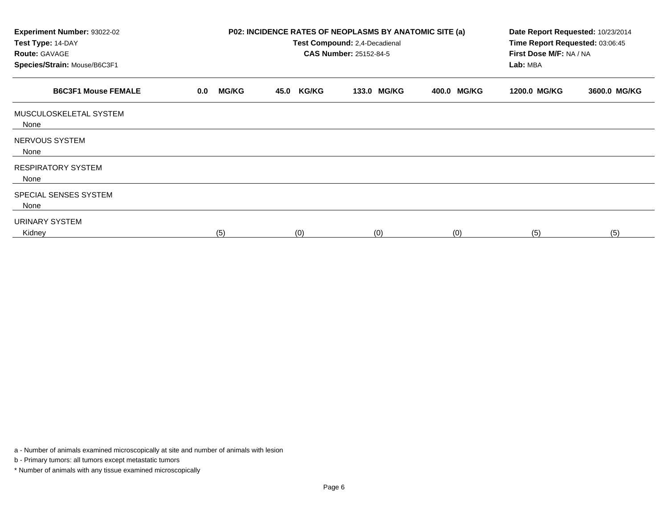| Experiment Number: 93022-02<br>Test Type: 14-DAY<br><b>Route: GAVAGE</b><br>Species/Strain: Mouse/B6C3F1 |                     | <b>P02: INCIDENCE RATES OF NEOPLASMS BY ANATOMIC SITE (a)</b><br>Test Compound: 2,4-Decadienal<br><b>CAS Number: 25152-84-5</b> | Date Report Requested: 10/23/2014<br>Time Report Requested: 03:06:45<br>First Dose M/F: NA / NA<br>Lab: MBA |             |              |              |
|----------------------------------------------------------------------------------------------------------|---------------------|---------------------------------------------------------------------------------------------------------------------------------|-------------------------------------------------------------------------------------------------------------|-------------|--------------|--------------|
| <b>B6C3F1 Mouse FEMALE</b>                                                                               | <b>MG/KG</b><br>0.0 | <b>KG/KG</b><br>45.0                                                                                                            | 133.0 MG/KG                                                                                                 | 400.0 MG/KG | 1200.0 MG/KG | 3600.0 MG/KG |
| MUSCULOSKELETAL SYSTEM<br>None                                                                           |                     |                                                                                                                                 |                                                                                                             |             |              |              |
| NERVOUS SYSTEM<br>None                                                                                   |                     |                                                                                                                                 |                                                                                                             |             |              |              |
| <b>RESPIRATORY SYSTEM</b><br>None                                                                        |                     |                                                                                                                                 |                                                                                                             |             |              |              |
| SPECIAL SENSES SYSTEM<br>None                                                                            |                     |                                                                                                                                 |                                                                                                             |             |              |              |
| URINARY SYSTEM<br>Kidney                                                                                 | (5)                 | (0)                                                                                                                             | (0)                                                                                                         | (0)         | (5)          | (5)          |

a - Number of animals examined microscopically at site and number of animals with lesion

b - Primary tumors: all tumors except metastatic tumors